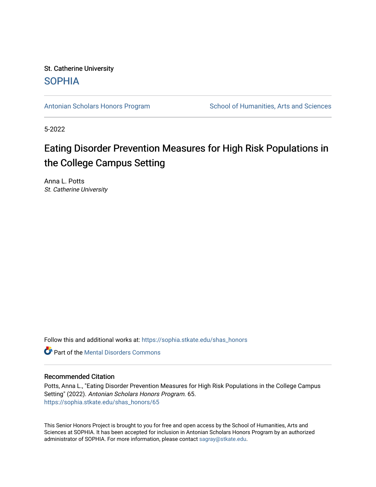St. Catherine University [SOPHIA](https://sophia.stkate.edu/) 

[Antonian Scholars Honors Program](https://sophia.stkate.edu/shas_honors) School of Humanities, Arts and Sciences

5-2022

# Eating Disorder Prevention Measures for High Risk Populations in the College Campus Setting

Anna L. Potts St. Catherine University

Follow this and additional works at: [https://sophia.stkate.edu/shas\\_honors](https://sophia.stkate.edu/shas_honors?utm_source=sophia.stkate.edu%2Fshas_honors%2F65&utm_medium=PDF&utm_campaign=PDFCoverPages)

**C** Part of the Mental Disorders Commons

## Recommended Citation

Potts, Anna L., "Eating Disorder Prevention Measures for High Risk Populations in the College Campus Setting" (2022). Antonian Scholars Honors Program. 65. [https://sophia.stkate.edu/shas\\_honors/65](https://sophia.stkate.edu/shas_honors/65?utm_source=sophia.stkate.edu%2Fshas_honors%2F65&utm_medium=PDF&utm_campaign=PDFCoverPages) 

This Senior Honors Project is brought to you for free and open access by the School of Humanities, Arts and Sciences at SOPHIA. It has been accepted for inclusion in Antonian Scholars Honors Program by an authorized administrator of SOPHIA. For more information, please contact [sagray@stkate.edu](mailto:sagray@stkate.edu).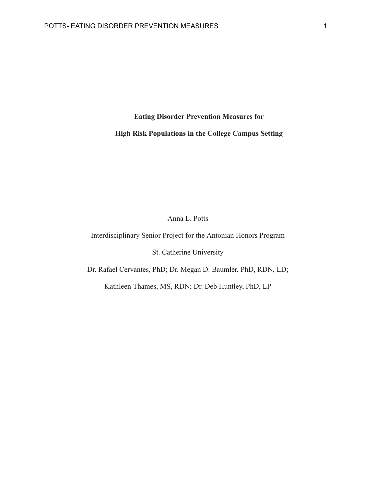**Eating Disorder Prevention Measures for**

**High Risk Populations in the College Campus Setting**

Anna L. Potts

Interdisciplinary Senior Project for the Antonian Honors Program

St. Catherine University

Dr. Rafael Cervantes, PhD; Dr. Megan D. Baumler, PhD, RDN, LD;

Kathleen Thames, MS, RDN; Dr. Deb Huntley, PhD, LP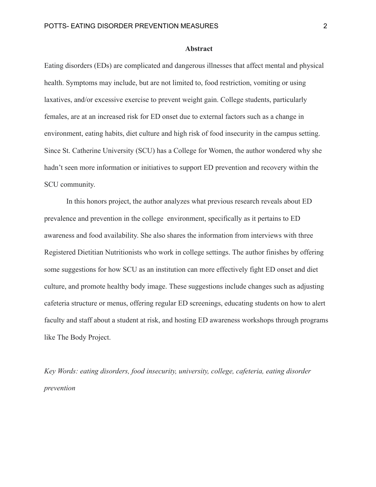## **Abstract**

Eating disorders (EDs) are complicated and dangerous illnesses that affect mental and physical health. Symptoms may include, but are not limited to, food restriction, vomiting or using laxatives, and/or excessive exercise to prevent weight gain. College students, particularly females, are at an increased risk for ED onset due to external factors such as a change in environment, eating habits, diet culture and high risk of food insecurity in the campus setting. Since St. Catherine University (SCU) has a College for Women, the author wondered why she hadn't seen more information or initiatives to support ED prevention and recovery within the SCU community.

In this honors project, the author analyzes what previous research reveals about ED prevalence and prevention in the college environment, specifically as it pertains to ED awareness and food availability. She also shares the information from interviews with three Registered Dietitian Nutritionists who work in college settings. The author finishes by offering some suggestions for how SCU as an institution can more effectively fight ED onset and diet culture, and promote healthy body image. These suggestions include changes such as adjusting cafeteria structure or menus, offering regular ED screenings, educating students on how to alert faculty and staff about a student at risk, and hosting ED awareness workshops through programs like The Body Project.

*Key Words: eating disorders, food insecurity, university, college, cafeteria, eating disorder prevention*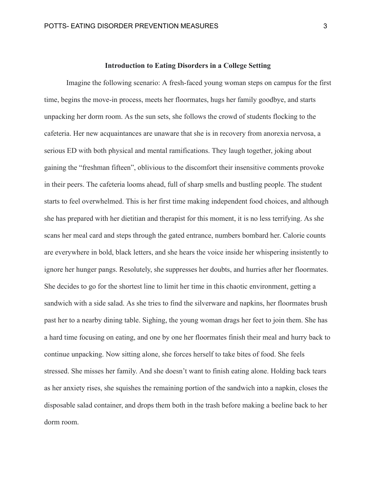## **Introduction to Eating Disorders in a College Setting**

Imagine the following scenario: A fresh-faced young woman steps on campus for the first time, begins the move-in process, meets her floormates, hugs her family goodbye, and starts unpacking her dorm room. As the sun sets, she follows the crowd of students flocking to the cafeteria. Her new acquaintances are unaware that she is in recovery from anorexia nervosa, a serious ED with both physical and mental ramifications. They laugh together, joking about gaining the "freshman fifteen", oblivious to the discomfort their insensitive comments provoke in their peers. The cafeteria looms ahead, full of sharp smells and bustling people. The student starts to feel overwhelmed. This is her first time making independent food choices, and although she has prepared with her dietitian and therapist for this moment, it is no less terrifying. As she scans her meal card and steps through the gated entrance, numbers bombard her. Calorie counts are everywhere in bold, black letters, and she hears the voice inside her whispering insistently to ignore her hunger pangs. Resolutely, she suppresses her doubts, and hurries after her floormates. She decides to go for the shortest line to limit her time in this chaotic environment, getting a sandwich with a side salad. As she tries to find the silverware and napkins, her floormates brush past her to a nearby dining table. Sighing, the young woman drags her feet to join them. She has a hard time focusing on eating, and one by one her floormates finish their meal and hurry back to continue unpacking. Now sitting alone, she forces herself to take bites of food. She feels stressed. She misses her family. And she doesn't want to finish eating alone. Holding back tears as her anxiety rises, she squishes the remaining portion of the sandwich into a napkin, closes the disposable salad container, and drops them both in the trash before making a beeline back to her dorm room.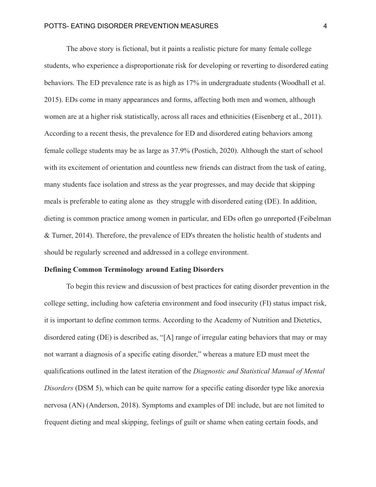The above story is fictional, but it paints a realistic picture for many female college students, who experience a disproportionate risk for developing or reverting to disordered eating behaviors. The ED prevalence rate is as high as 17% in undergraduate students (Woodhall et al. 2015). EDs come in many appearances and forms, affecting both men and women, although women are at a higher risk statistically, across all races and ethnicities (Eisenberg et al., 2011). According to a recent thesis, the prevalence for ED and disordered eating behaviors among female college students may be as large as 37.9% (Postich, 2020). Although the start of school with its excitement of orientation and countless new friends can distract from the task of eating, many students face isolation and stress as the year progresses, and may decide that skipping meals is preferable to eating alone as they struggle with disordered eating (DE). In addition, dieting is common practice among women in particular, and EDs often go unreported (Feibelman & Turner, 2014). Therefore, the prevalence of ED's threaten the holistic health of students and should be regularly screened and addressed in a college environment.

#### **Defining Common Terminology around Eating Disorders**

To begin this review and discussion of best practices for eating disorder prevention in the college setting, including how cafeteria environment and food insecurity (FI) status impact risk, it is important to define common terms. According to the Academy of Nutrition and Dietetics, disordered eating (DE) is described as, "[A] range of irregular eating behaviors that may or may not warrant a diagnosis of a specific eating disorder," whereas a mature ED must meet the qualifications outlined in the latest iteration of the *Diagnostic and Statistical Manual of Mental Disorders* (DSM 5), which can be quite narrow for a specific eating disorder type like anorexia nervosa (AN) (Anderson, 2018). Symptoms and examples of DE include, but are not limited to frequent dieting and meal skipping, feelings of guilt or shame when eating certain foods, and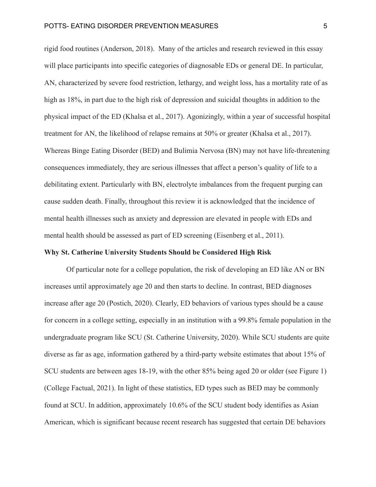rigid food routines (Anderson, 2018). Many of the articles and research reviewed in this essay will place participants into specific categories of diagnosable EDs or general DE. In particular, AN, characterized by severe food restriction, lethargy, and weight loss, has a mortality rate of as high as 18%, in part due to the high risk of depression and suicidal thoughts in addition to the physical impact of the ED (Khalsa et al., 2017). Agonizingly, within a year of successful hospital treatment for AN, the likelihood of relapse remains at 50% or greater (Khalsa et al., 2017). Whereas Binge Eating Disorder (BED) and Bulimia Nervosa (BN) may not have life-threatening consequences immediately, they are serious illnesses that affect a person's quality of life to a debilitating extent. Particularly with BN, electrolyte imbalances from the frequent purging can cause sudden death. Finally, throughout this review it is acknowledged that the incidence of mental health illnesses such as anxiety and depression are elevated in people with EDs and mental health should be assessed as part of ED screening (Eisenberg et al., 2011).

## **Why St. Catherine University Students Should be Considered High Risk**

Of particular note for a college population, the risk of developing an ED like AN or BN increases until approximately age 20 and then starts to decline. In contrast, BED diagnoses increase after age 20 (Postich, 2020). Clearly, ED behaviors of various types should be a cause for concern in a college setting, especially in an institution with a 99.8% female population in the undergraduate program like SCU (St. Catherine University, 2020). While SCU students are quite diverse as far as age, information gathered by a third-party website estimates that about 15% of SCU students are between ages 18-19, with the other 85% being aged 20 or older (see Figure 1) (College Factual, 2021). In light of these statistics, ED types such as BED may be commonly found at SCU. In addition, approximately 10.6% of the SCU student body identifies as Asian American, which is significant because recent research has suggested that certain DE behaviors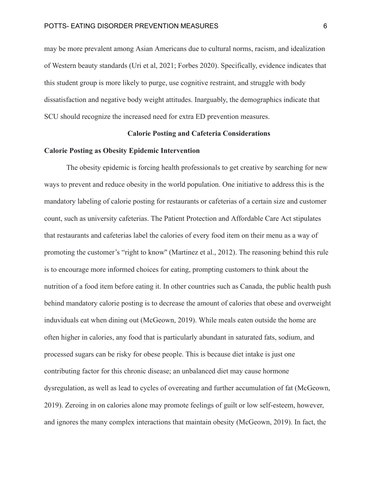may be more prevalent among Asian Americans due to cultural norms, racism, and idealization of Western beauty standards (Uri et al, 2021; Forbes 2020). Specifically, evidence indicates that this student group is more likely to purge, use cognitive restraint, and struggle with body dissatisfaction and negative body weight attitudes. Inarguably, the demographics indicate that SCU should recognize the increased need for extra ED prevention measures.

## **Calorie Posting and Cafeteria Considerations**

## **Calorie Posting as Obesity Epidemic Intervention**

The obesity epidemic is forcing health professionals to get creative by searching for new ways to prevent and reduce obesity in the world population. One initiative to address this is the mandatory labeling of calorie posting for restaurants or cafeterias of a certain size and customer count, such as university cafeterias. The Patient Protection and Affordable Care Act stipulates that restaurants and cafeterias label the calories of every food item on their menu as a way of promoting the customer's "right to know'' (Martinez et al., 2012). The reasoning behind this rule is to encourage more informed choices for eating, prompting customers to think about the nutrition of a food item before eating it. In other countries such as Canada, the public health push behind mandatory calorie posting is to decrease the amount of calories that obese and overweight induviduals eat when dining out (McGeown, 2019). While meals eaten outside the home are often higher in calories, any food that is particularly abundant in saturated fats, sodium, and processed sugars can be risky for obese people. This is because diet intake is just one contributing factor for this chronic disease; an unbalanced diet may cause hormone dysregulation, as well as lead to cycles of overeating and further accumulation of fat (McGeown, 2019). Zeroing in on calories alone may promote feelings of guilt or low self-esteem, however, and ignores the many complex interactions that maintain obesity (McGeown, 2019). In fact, the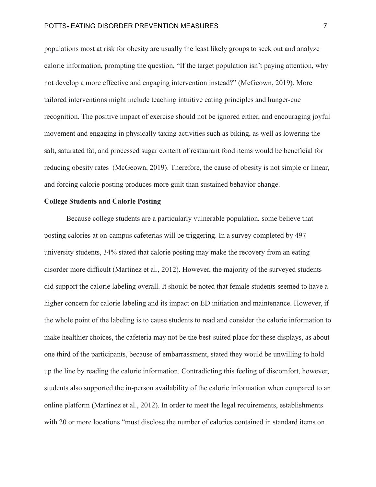populations most at risk for obesity are usually the least likely groups to seek out and analyze calorie information, prompting the question, "If the target population isn't paying attention, why not develop a more effective and engaging intervention instead?" (McGeown, 2019). More tailored interventions might include teaching intuitive eating principles and hunger-cue recognition. The positive impact of exercise should not be ignored either, and encouraging joyful movement and engaging in physically taxing activities such as biking, as well as lowering the salt, saturated fat, and processed sugar content of restaurant food items would be beneficial for reducing obesity rates (McGeown, 2019). Therefore, the cause of obesity is not simple or linear, and forcing calorie posting produces more guilt than sustained behavior change.

## **College Students and Calorie Posting**

Because college students are a particularly vulnerable population, some believe that posting calories at on-campus cafeterias will be triggering. In a survey completed by 497 university students, 34% stated that calorie posting may make the recovery from an eating disorder more difficult (Martinez et al., 2012). However, the majority of the surveyed students did support the calorie labeling overall. It should be noted that female students seemed to have a higher concern for calorie labeling and its impact on ED initiation and maintenance. However, if the whole point of the labeling is to cause students to read and consider the calorie information to make healthier choices, the cafeteria may not be the best-suited place for these displays, as about one third of the participants, because of embarrassment, stated they would be unwilling to hold up the line by reading the calorie information. Contradicting this feeling of discomfort, however, students also supported the in-person availability of the calorie information when compared to an online platform (Martinez et al., 2012). In order to meet the legal requirements, establishments with 20 or more locations "must disclose the number of calories contained in standard items on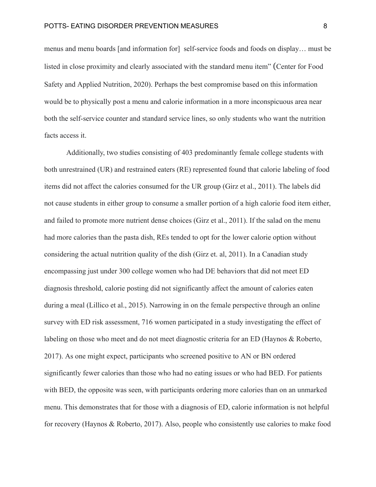menus and menu boards [and information for] self-service foods and foods on display… must be listed in close proximity and clearly associated with the standard menu item" (Center for Food Safety and Applied Nutrition, 2020). Perhaps the best compromise based on this information would be to physically post a menu and calorie information in a more inconspicuous area near both the self-service counter and standard service lines, so only students who want the nutrition facts access it.

Additionally, two studies consisting of 403 predominantly female college students with both unrestrained (UR) and restrained eaters (RE) represented found that calorie labeling of food items did not affect the calories consumed for the UR group (Girz et al., 2011). The labels did not cause students in either group to consume a smaller portion of a high calorie food item either, and failed to promote more nutrient dense choices (Girz et al., 2011). If the salad on the menu had more calories than the pasta dish, REs tended to opt for the lower calorie option without considering the actual nutrition quality of the dish (Girz et. al, 2011). In a Canadian study encompassing just under 300 college women who had DE behaviors that did not meet ED diagnosis threshold, calorie posting did not significantly affect the amount of calories eaten during a meal (Lillico et al., 2015). Narrowing in on the female perspective through an online survey with ED risk assessment, 716 women participated in a study investigating the effect of labeling on those who meet and do not meet diagnostic criteria for an ED (Haynos & Roberto, 2017). As one might expect, participants who screened positive to AN or BN ordered significantly fewer calories than those who had no eating issues or who had BED. For patients with BED, the opposite was seen, with participants ordering more calories than on an unmarked menu. This demonstrates that for those with a diagnosis of ED, calorie information is not helpful for recovery (Haynos & Roberto, 2017). Also, people who consistently use calories to make food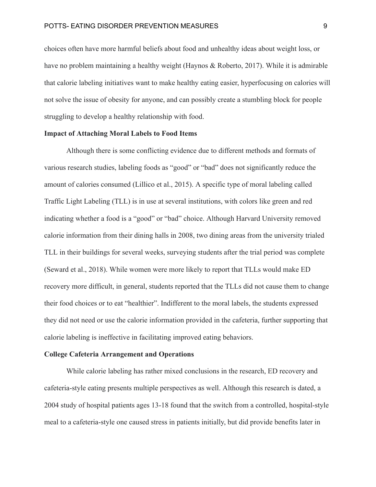choices often have more harmful beliefs about food and unhealthy ideas about weight loss, or have no problem maintaining a healthy weight (Haynos & Roberto, 2017). While it is admirable that calorie labeling initiatives want to make healthy eating easier, hyperfocusing on calories will not solve the issue of obesity for anyone, and can possibly create a stumbling block for people struggling to develop a healthy relationship with food.

## **Impact of Attaching Moral Labels to Food Items**

Although there is some conflicting evidence due to different methods and formats of various research studies, labeling foods as "good" or "bad" does not significantly reduce the amount of calories consumed (Lillico et al., 2015). A specific type of moral labeling called Traffic Light Labeling (TLL) is in use at several institutions, with colors like green and red indicating whether a food is a "good" or "bad" choice. Although Harvard University removed calorie information from their dining halls in 2008, two dining areas from the university trialed TLL in their buildings for several weeks, surveying students after the trial period was complete (Seward et al., 2018). While women were more likely to report that TLLs would make ED recovery more difficult, in general, students reported that the TLLs did not cause them to change their food choices or to eat "healthier". Indifferent to the moral labels, the students expressed they did not need or use the calorie information provided in the cafeteria, further supporting that calorie labeling is ineffective in facilitating improved eating behaviors.

#### **College Cafeteria Arrangement and Operations**

While calorie labeling has rather mixed conclusions in the research, ED recovery and cafeteria-style eating presents multiple perspectives as well. Although this research is dated, a 2004 study of hospital patients ages 13-18 found that the switch from a controlled, hospital-style meal to a cafeteria-style one caused stress in patients initially, but did provide benefits later in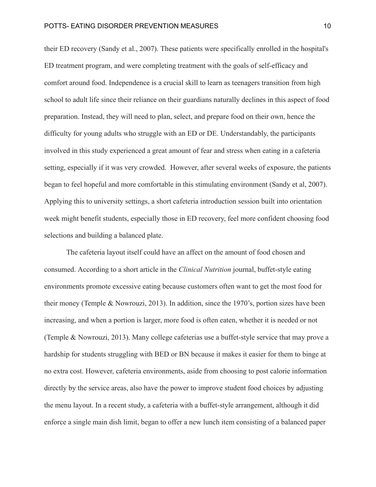their ED recovery (Sandy et al., 2007). These patients were specifically enrolled in the hospital's ED treatment program, and were completing treatment with the goals of self-efficacy and comfort around food. Independence is a crucial skill to learn as teenagers transition from high school to adult life since their reliance on their guardians naturally declines in this aspect of food preparation. Instead, they will need to plan, select, and prepare food on their own, hence the difficulty for young adults who struggle with an ED or DE. Understandably, the participants involved in this study experienced a great amount of fear and stress when eating in a cafeteria setting, especially if it was very crowded. However, after several weeks of exposure, the patients began to feel hopeful and more comfortable in this stimulating environment (Sandy et al, 2007). Applying this to university settings, a short cafeteria introduction session built into orientation week might benefit students, especially those in ED recovery, feel more confident choosing food selections and building a balanced plate.

The cafeteria layout itself could have an affect on the amount of food chosen and consumed. According to a short article in the *Clinical Nutrition* journal, buffet-style eating environments promote excessive eating because customers often want to get the most food for their money (Temple & Nowrouzi, 2013). In addition, since the 1970's, portion sizes have been increasing, and when a portion is larger, more food is often eaten, whether it is needed or not (Temple & Nowrouzi, 2013). Many college cafeterias use a buffet-style service that may prove a hardship for students struggling with BED or BN because it makes it easier for them to binge at no extra cost. However, cafeteria environments, aside from choosing to post calorie information directly by the service areas, also have the power to improve student food choices by adjusting the menu layout. In a recent study, a cafeteria with a buffet-style arrangement, although it did enforce a single main dish limit, began to offer a new lunch item consisting of a balanced paper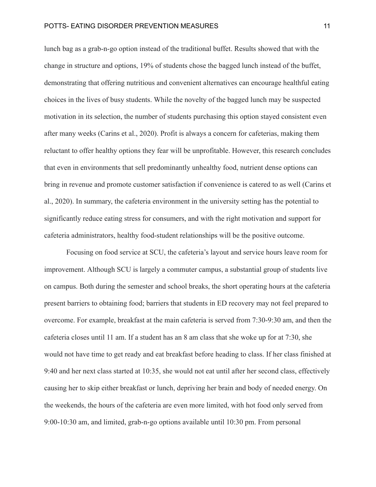lunch bag as a grab-n-go option instead of the traditional buffet. Results showed that with the change in structure and options, 19% of students chose the bagged lunch instead of the buffet, demonstrating that offering nutritious and convenient alternatives can encourage healthful eating choices in the lives of busy students. While the novelty of the bagged lunch may be suspected motivation in its selection, the number of students purchasing this option stayed consistent even after many weeks (Carins et al., 2020). Profit is always a concern for cafeterias, making them reluctant to offer healthy options they fear will be unprofitable. However, this research concludes that even in environments that sell predominantly unhealthy food, nutrient dense options can bring in revenue and promote customer satisfaction if convenience is catered to as well (Carins et al., 2020). In summary, the cafeteria environment in the university setting has the potential to significantly reduce eating stress for consumers, and with the right motivation and support for cafeteria administrators, healthy food-student relationships will be the positive outcome.

Focusing on food service at SCU, the cafeteria's layout and service hours leave room for improvement. Although SCU is largely a commuter campus, a substantial group of students live on campus. Both during the semester and school breaks, the short operating hours at the cafeteria present barriers to obtaining food; barriers that students in ED recovery may not feel prepared to overcome. For example, breakfast at the main cafeteria is served from 7:30-9:30 am, and then the cafeteria closes until 11 am. If a student has an 8 am class that she woke up for at 7:30, she would not have time to get ready and eat breakfast before heading to class. If her class finished at 9:40 and her next class started at 10:35, she would not eat until after her second class, effectively causing her to skip either breakfast or lunch, depriving her brain and body of needed energy. On the weekends, the hours of the cafeteria are even more limited, with hot food only served from 9:00-10:30 am, and limited, grab-n-go options available until 10:30 pm. From personal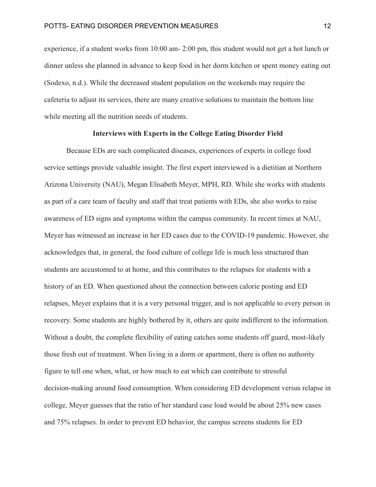experience, if a student works from 10:00 am- 2:00 pm, this student would not get a hot lunch or dinner unless she planned in advance to keep food in her dorm kitchen or spent money eating out (Sodexo, n.d.). While the decreased student population on the weekends may require the cafeteria to adjust its services, there are many creative solutions to maintain the bottom line while meeting all the nutrition needs of students.

## **Interviews with Experts in the College Eating Disorder Field**

Because EDs are such complicated diseases, experiences of experts in college food service settings provide valuable insight. The first expert interviewed is a dietitian at Northern Arizona University (NAU), Megan Elisabeth Meyer, MPH, RD. While she works with students as part of a care team of faculty and staff that treat patients with EDs, she also works to raise awareness of ED signs and symptoms within the campus community. In recent times at NAU, Meyer has witnessed an increase in her ED cases due to the COVID-19 pandemic. However, she acknowledges that, in general, the food culture of college life is much less structured than students are accustomed to at home, and this contributes to the relapses for students with a history of an ED. When questioned about the connection between calorie posting and ED relapses, Meyer explains that it is a very personal trigger, and is not applicable to every person in recovery. Some students are highly bothered by it, others are quite indifferent to the information. Without a doubt, the complete flexibility of eating catches some students off guard, most-likely those fresh out of treatment. When living in a dorm or apartment, there is often no authority figure to tell one when, what, or how much to eat which can contribute to stressful decision-making around food consumption. When considering ED development versus relapse in college, Meyer guesses that the ratio of her standard case load would be about 25% new cases and 75% relapses. In order to prevent ED behavior, the campus screens students for ED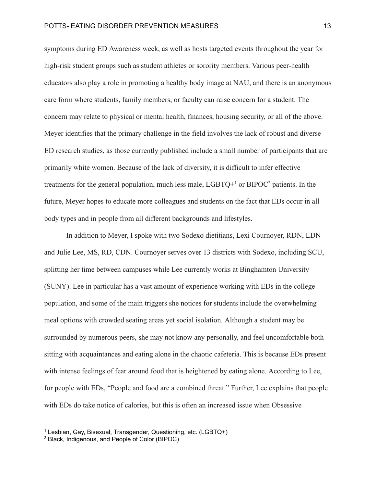symptoms during ED Awareness week, as well as hosts targeted events throughout the year for high-risk student groups such as student athletes or sorority members. Various peer-health educators also play a role in promoting a healthy body image at NAU, and there is an anonymous care form where students, family members, or faculty can raise concern for a student. The concern may relate to physical or mental health, finances, housing security, or all of the above. Meyer identifies that the primary challenge in the field involves the lack of robust and diverse ED research studies, as those currently published include a small number of participants that are primarily white women. Because of the lack of diversity, it is difficult to infer effective treatments for the general population, much less male,  $LGBTO<sup>+1</sup>$  or  $BIPOC<sup>2</sup>$  patients. In the future, Meyer hopes to educate more colleagues and students on the fact that EDs occur in all body types and in people from all different backgrounds and lifestyles.

In addition to Meyer, I spoke with two Sodexo dietitians, Lexi Cournoyer, RDN, LDN and Julie Lee, MS, RD, CDN. Cournoyer serves over 13 districts with Sodexo, including SCU, splitting her time between campuses while Lee currently works at Binghamton University (SUNY). Lee in particular has a vast amount of experience working with EDs in the college population, and some of the main triggers she notices for students include the overwhelming meal options with crowded seating areas yet social isolation. Although a student may be surrounded by numerous peers, she may not know any personally, and feel uncomfortable both sitting with acquaintances and eating alone in the chaotic cafeteria. This is because EDs present with intense feelings of fear around food that is heightened by eating alone. According to Lee, for people with EDs, "People and food are a combined threat." Further, Lee explains that people with EDs do take notice of calories, but this is often an increased issue when Obsessive

<sup>1</sup> Lesbian, Gay, Bisexual, Transgender, Questioning, etc. (LGBTQ+)

<sup>2</sup> Black, Indigenous, and People of Color (BIPOC)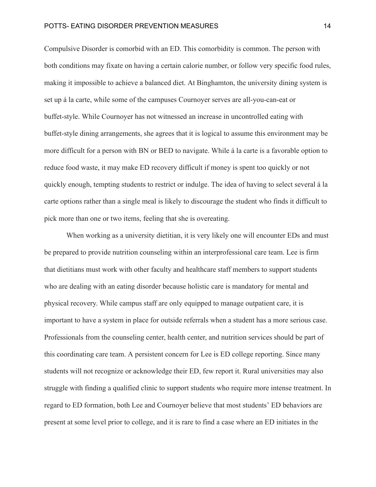Compulsive Disorder is comorbid with an ED. This comorbidity is common. The person with both conditions may fixate on having a certain calorie number, or follow very specific food rules, making it impossible to achieve a balanced diet. At Binghamton, the university dining system is set up á la carte, while some of the campuses Cournoyer serves are all-you-can-eat or buffet-style. While Cournoyer has not witnessed an increase in uncontrolled eating with buffet-style dining arrangements, she agrees that it is logical to assume this environment may be more difficult for a person with BN or BED to navigate. While á la carte is a favorable option to reduce food waste, it may make ED recovery difficult if money is spent too quickly or not quickly enough, tempting students to restrict or indulge. The idea of having to select several á la carte options rather than a single meal is likely to discourage the student who finds it difficult to pick more than one or two items, feeling that she is overeating.

When working as a university dietitian, it is very likely one will encounter EDs and must be prepared to provide nutrition counseling within an interprofessional care team. Lee is firm that dietitians must work with other faculty and healthcare staff members to support students who are dealing with an eating disorder because holistic care is mandatory for mental and physical recovery. While campus staff are only equipped to manage outpatient care, it is important to have a system in place for outside referrals when a student has a more serious case. Professionals from the counseling center, health center, and nutrition services should be part of this coordinating care team. A persistent concern for Lee is ED college reporting. Since many students will not recognize or acknowledge their ED, few report it. Rural universities may also struggle with finding a qualified clinic to support students who require more intense treatment. In regard to ED formation, both Lee and Cournoyer believe that most students' ED behaviors are present at some level prior to college, and it is rare to find a case where an ED initiates in the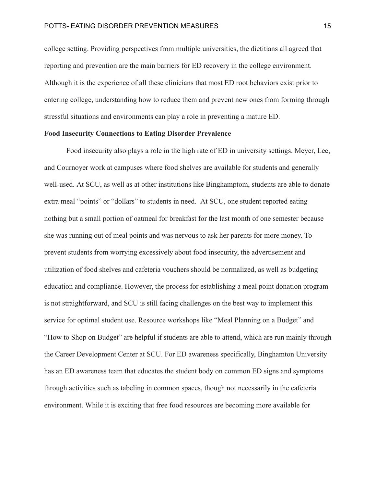college setting. Providing perspectives from multiple universities, the dietitians all agreed that reporting and prevention are the main barriers for ED recovery in the college environment. Although it is the experience of all these clinicians that most ED root behaviors exist prior to entering college, understanding how to reduce them and prevent new ones from forming through stressful situations and environments can play a role in preventing a mature ED.

## **Food Insecurity Connections to Eating Disorder Prevalence**

Food insecurity also plays a role in the high rate of ED in university settings. Meyer, Lee, and Cournoyer work at campuses where food shelves are available for students and generally well-used. At SCU, as well as at other institutions like Binghamptom, students are able to donate extra meal "points" or "dollars" to students in need. At SCU, one student reported eating nothing but a small portion of oatmeal for breakfast for the last month of one semester because she was running out of meal points and was nervous to ask her parents for more money. To prevent students from worrying excessively about food insecurity, the advertisement and utilization of food shelves and cafeteria vouchers should be normalized, as well as budgeting education and compliance. However, the process for establishing a meal point donation program is not straightforward, and SCU is still facing challenges on the best way to implement this service for optimal student use. Resource workshops like "Meal Planning on a Budget" and "How to Shop on Budget" are helpful if students are able to attend, which are run mainly through the Career Development Center at SCU. For ED awareness specifically, Binghamton University has an ED awareness team that educates the student body on common ED signs and symptoms through activities such as tabeling in common spaces, though not necessarily in the cafeteria environment. While it is exciting that free food resources are becoming more available for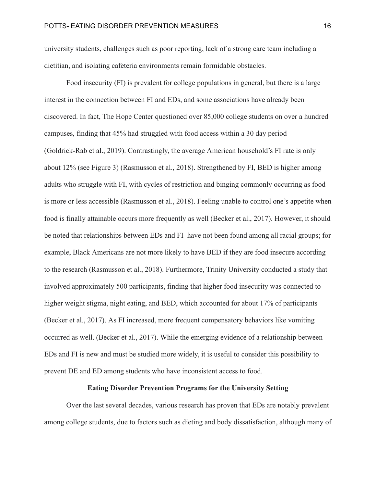university students, challenges such as poor reporting, lack of a strong care team including a dietitian, and isolating cafeteria environments remain formidable obstacles.

Food insecurity (FI) is prevalent for college populations in general, but there is a large interest in the connection between FI and EDs, and some associations have already been discovered. In fact, The Hope Center questioned over 85,000 college students on over a hundred campuses, finding that 45% had struggled with food access within a 30 day period (Goldrick-Rab et al., 2019). Contrastingly, the average American household's FI rate is only about 12% (see Figure 3) (Rasmusson et al., 2018). Strengthened by FI, BED is higher among adults who struggle with FI, with cycles of restriction and binging commonly occurring as food is more or less accessible (Rasmusson et al., 2018). Feeling unable to control one's appetite when food is finally attainable occurs more frequently as well (Becker et al., 2017). However, it should be noted that relationships between EDs and FI have not been found among all racial groups; for example, Black Americans are not more likely to have BED if they are food insecure according to the research (Rasmusson et al., 2018). Furthermore, Trinity University conducted a study that involved approximately 500 participants, finding that higher food insecurity was connected to higher weight stigma, night eating, and BED, which accounted for about 17% of participants (Becker et al., 2017). As FI increased, more frequent compensatory behaviors like vomiting occurred as well. (Becker et al., 2017). While the emerging evidence of a relationship between EDs and FI is new and must be studied more widely, it is useful to consider this possibility to prevent DE and ED among students who have inconsistent access to food.

#### **Eating Disorder Prevention Programs for the University Setting**

Over the last several decades, various research has proven that EDs are notably prevalent among college students, due to factors such as dieting and body dissatisfaction, although many of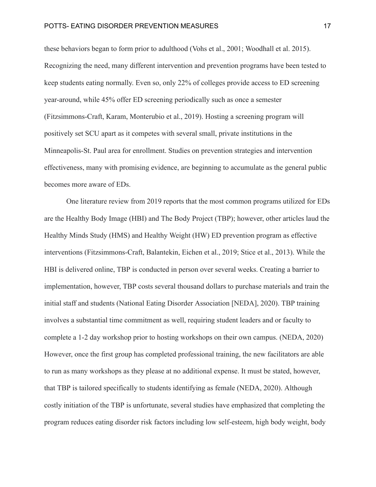these behaviors began to form prior to adulthood (Vohs et al., 2001; Woodhall et al. 2015). Recognizing the need, many different intervention and prevention programs have been tested to keep students eating normally. Even so, only 22% of colleges provide access to ED screening year-around, while 45% offer ED screening periodically such as once a semester (Fitzsimmons-Craft, Karam, Monterubio et al., 2019). Hosting a screening program will positively set SCU apart as it competes with several small, private institutions in the Minneapolis-St. Paul area for enrollment. Studies on prevention strategies and intervention effectiveness, many with promising evidence, are beginning to accumulate as the general public becomes more aware of EDs.

One literature review from 2019 reports that the most common programs utilized for EDs are the Healthy Body Image (HBI) and The Body Project (TBP); however, other articles laud the Healthy Minds Study (HMS) and Healthy Weight (HW) ED prevention program as effective interventions (Fitzsimmons‐Craft, Balantekin, Eichen et al., 2019; Stice et al., 2013). While the HBI is delivered online, TBP is conducted in person over several weeks. Creating a barrier to implementation, however, TBP costs several thousand dollars to purchase materials and train the initial staff and students (National Eating Disorder Association [NEDA], 2020). TBP training involves a substantial time commitment as well, requiring student leaders and or faculty to complete a 1-2 day workshop prior to hosting workshops on their own campus. (NEDA, 2020) However, once the first group has completed professional training, the new facilitators are able to run as many workshops as they please at no additional expense. It must be stated, however, that TBP is tailored specifically to students identifying as female (NEDA, 2020). Although costly initiation of the TBP is unfortunate, several studies have emphasized that completing the program reduces eating disorder risk factors including low self-esteem, high body weight, body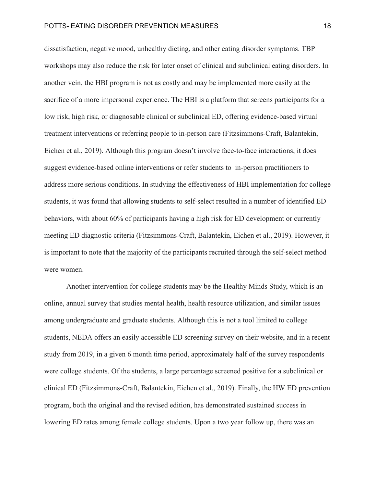dissatisfaction, negative mood, unhealthy dieting, and other eating disorder symptoms. TBP workshops may also reduce the risk for later onset of clinical and subclinical eating disorders. In another vein, the HBI program is not as costly and may be implemented more easily at the sacrifice of a more impersonal experience. The HBI is a platform that screens participants for a low risk, high risk, or diagnosable clinical or subclinical ED, offering evidence-based virtual treatment interventions or referring people to in-person care (Fitzsimmons‐Craft, Balantekin, Eichen et al., 2019). Although this program doesn't involve face-to-face interactions, it does suggest evidence-based online interventions or refer students to in-person practitioners to address more serious conditions. In studying the effectiveness of HBI implementation for college students, it was found that allowing students to self-select resulted in a number of identified ED behaviors, with about 60% of participants having a high risk for ED development or currently meeting ED diagnostic criteria (Fitzsimmons‐Craft, Balantekin, Eichen et al., 2019). However, it is important to note that the majority of the participants recruited through the self-select method were women.

Another intervention for college students may be the Healthy Minds Study, which is an online, annual survey that studies mental health, health resource utilization, and similar issues among undergraduate and graduate students. Although this is not a tool limited to college students, NEDA offers an easily accessible ED screening survey on their website, and in a recent study from 2019, in a given 6 month time period, approximately half of the survey respondents were college students. Of the students, a large percentage screened positive for a subclinical or clinical ED (Fitzsimmons‐Craft, Balantekin, Eichen et al., 2019). Finally, the HW ED prevention program, both the original and the revised edition, has demonstrated sustained success in lowering ED rates among female college students. Upon a two year follow up, there was an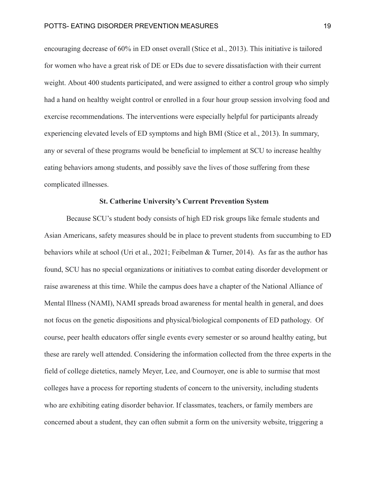encouraging decrease of 60% in ED onset overall (Stice et al., 2013). This initiative is tailored for women who have a great risk of DE or EDs due to severe dissatisfaction with their current weight. About 400 students participated, and were assigned to either a control group who simply had a hand on healthy weight control or enrolled in a four hour group session involving food and exercise recommendations. The interventions were especially helpful for participants already experiencing elevated levels of ED symptoms and high BMI (Stice et al., 2013). In summary, any or several of these programs would be beneficial to implement at SCU to increase healthy eating behaviors among students, and possibly save the lives of those suffering from these complicated illnesses.

## **St. Catherine University's Current Prevention System**

Because SCU's student body consists of high ED risk groups like female students and Asian Americans, safety measures should be in place to prevent students from succumbing to ED behaviors while at school (Uri et al., 2021; Feibelman & Turner, 2014). As far as the author has found, SCU has no special organizations or initiatives to combat eating disorder development or raise awareness at this time. While the campus does have a chapter of the National Alliance of Mental Illness (NAMI), NAMI spreads broad awareness for mental health in general, and does not focus on the genetic dispositions and physical/biological components of ED pathology. Of course, peer health educators offer single events every semester or so around healthy eating, but these are rarely well attended. Considering the information collected from the three experts in the field of college dietetics, namely Meyer, Lee, and Cournoyer, one is able to surmise that most colleges have a process for reporting students of concern to the university, including students who are exhibiting eating disorder behavior. If classmates, teachers, or family members are concerned about a student, they can often submit a form on the university website, triggering a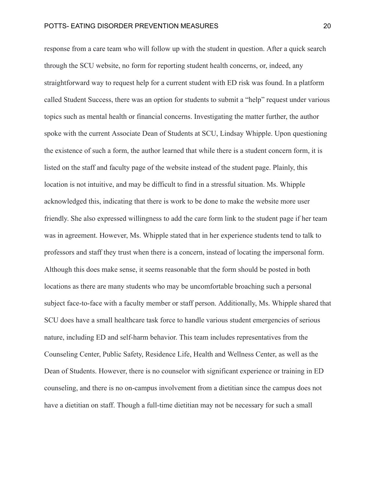response from a care team who will follow up with the student in question. After a quick search through the SCU website, no form for reporting student health concerns, or, indeed, any straightforward way to request help for a current student with ED risk was found. In a platform called Student Success, there was an option for students to submit a "help" request under various topics such as mental health or financial concerns. Investigating the matter further, the author spoke with the current Associate Dean of Students at SCU, Lindsay Whipple. Upon questioning the existence of such a form, the author learned that while there is a student concern form, it is listed on the staff and faculty page of the website instead of the student page. Plainly, this location is not intuitive, and may be difficult to find in a stressful situation. Ms. Whipple acknowledged this, indicating that there is work to be done to make the website more user friendly. She also expressed willingness to add the care form link to the student page if her team was in agreement. However, Ms. Whipple stated that in her experience students tend to talk to professors and staff they trust when there is a concern, instead of locating the impersonal form. Although this does make sense, it seems reasonable that the form should be posted in both locations as there are many students who may be uncomfortable broaching such a personal subject face-to-face with a faculty member or staff person. Additionally, Ms. Whipple shared that SCU does have a small healthcare task force to handle various student emergencies of serious nature, including ED and self-harm behavior. This team includes representatives from the Counseling Center, Public Safety, Residence Life, Health and Wellness Center, as well as the Dean of Students. However, there is no counselor with significant experience or training in ED counseling, and there is no on-campus involvement from a dietitian since the campus does not have a dietitian on staff. Though a full-time dietitian may not be necessary for such a small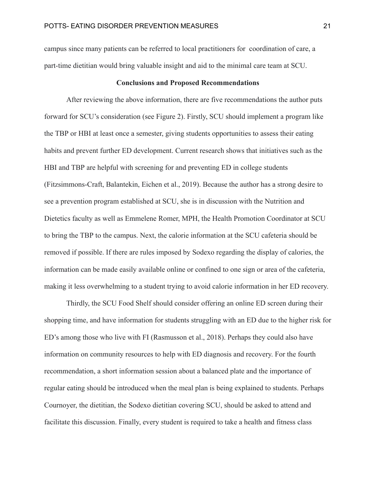campus since many patients can be referred to local practitioners for coordination of care, a part-time dietitian would bring valuable insight and aid to the minimal care team at SCU.

## **Conclusions and Proposed Recommendations**

After reviewing the above information, there are five recommendations the author puts forward for SCU's consideration (see Figure 2). Firstly, SCU should implement a program like the TBP or HBI at least once a semester, giving students opportunities to assess their eating habits and prevent further ED development. Current research shows that initiatives such as the HBI and TBP are helpful with screening for and preventing ED in college students (Fitzsimmons‐Craft, Balantekin, Eichen et al., 2019). Because the author has a strong desire to see a prevention program established at SCU, she is in discussion with the Nutrition and Dietetics faculty as well as Emmelene Romer, MPH, the Health Promotion Coordinator at SCU to bring the TBP to the campus. Next, the calorie information at the SCU cafeteria should be removed if possible. If there are rules imposed by Sodexo regarding the display of calories, the information can be made easily available online or confined to one sign or area of the cafeteria, making it less overwhelming to a student trying to avoid calorie information in her ED recovery.

Thirdly, the SCU Food Shelf should consider offering an online ED screen during their shopping time, and have information for students struggling with an ED due to the higher risk for ED's among those who live with FI (Rasmusson et al., 2018). Perhaps they could also have information on community resources to help with ED diagnosis and recovery. For the fourth recommendation, a short information session about a balanced plate and the importance of regular eating should be introduced when the meal plan is being explained to students. Perhaps Cournoyer, the dietitian, the Sodexo dietitian covering SCU, should be asked to attend and facilitate this discussion. Finally, every student is required to take a health and fitness class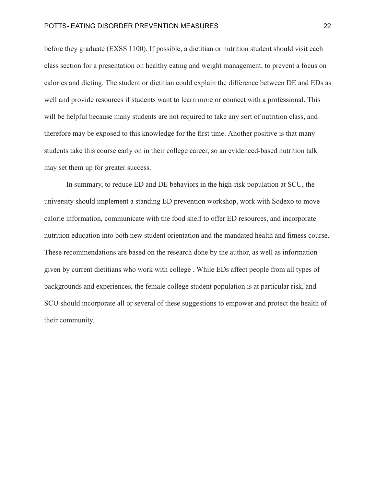before they graduate (EXSS 1100). If possible, a dietitian or nutrition student should visit each class section for a presentation on healthy eating and weight management, to prevent a focus on calories and dieting. The student or dietitian could explain the difference between DE and EDs as well and provide resources if students want to learn more or connect with a professional. This will be helpful because many students are not required to take any sort of nutrition class, and therefore may be exposed to this knowledge for the first time. Another positive is that many students take this course early on in their college career, so an evidenced-based nutrition talk may set them up for greater success.

In summary, to reduce ED and DE behaviors in the high-risk population at SCU, the university should implement a standing ED prevention workshop, work with Sodexo to move calorie information, communicate with the food shelf to offer ED resources, and incorporate nutrition education into both new student orientation and the mandated health and fitness course. These recommendations are based on the research done by the author, as well as information given by current dietitians who work with college . While EDs affect people from all types of backgrounds and experiences, the female college student population is at particular risk, and SCU should incorporate all or several of these suggestions to empower and protect the health of their community.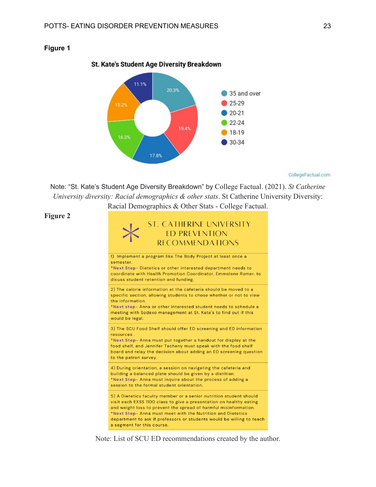

## St. Kate's Student Age Diversity Breakdown

CollegeFactual.com

Note: "St. Kate's Student Age Diversity Breakdown" by College Factual. (2021). *St Catherine University diversity: Racial demographics & other stats*. St Catherine University Diversity: Racial Demographics & Other Stats - College Factual.

## **Figure 2**

**Figure 1**



Note: List of SCU ED recommendations created by the author.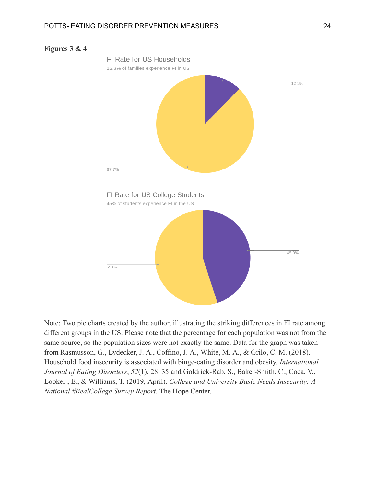



Note: Two pie charts created by the author, illustrating the striking differences in FI rate among different groups in the US. Please note that the percentage for each population was not from the same source, so the population sizes were not exactly the same. Data for the graph was taken from Rasmusson, G., Lydecker, J. A., Coffino, J. A., White, M. A., & Grilo, C. M. (2018). Household food insecurity is associated with binge-eating disorder and obesity. *International Journal of Eating Disorders*, *52*(1), 28–35 and Goldrick-Rab, S., Baker-Smith, C., Coca, V., Looker , E., & Williams, T. (2019, April). *College and University Basic Needs Insecurity: A National #RealCollege Survey Report*. The Hope Center.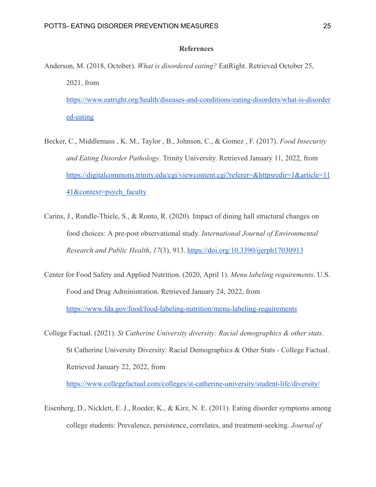## **References**

- Anderson, M. (2018, October). *What is disordered eating?* EatRight. Retrieved October 25, 2021, from [https://www.eatright.org/health/diseases-and-conditions/eating-disorders/what-is-disorder](https://www.eatright.org/health/diseases-and-conditions/eating-disorders/what-is-disordered-eating) [ed-eating](https://www.eatright.org/health/diseases-and-conditions/eating-disorders/what-is-disordered-eating)
- Becker, C., Middlemass , K. M., Taylor , B., Johnson, C., & Gomez , F. (2017). *Food Insecurity and Eating Disorder Pathology*. Trinity University. Retrieved January 11, 2022, from [https://digitalcommons.trinity.edu/cgi/viewcontent.cgi?referer=&httpsredir=1&article=11](https://digitalcommons.trinity.edu/cgi/viewcontent.cgi?referer=&httpsredir=1&article=1141&context=psych_faculty) [41&context=psych\\_faculty](https://digitalcommons.trinity.edu/cgi/viewcontent.cgi?referer=&httpsredir=1&article=1141&context=psych_faculty)
- Carins, J., Rundle-Thiele, S., & Ronto, R. (2020). Impact of dining hall structural changes on food choices: A pre-post observational study. *International Journal of Environmental Research and Public Health*, *17*(3), 913. <https://doi.org/10.3390/ijerph17030913>
- Center for Food Safety and Applied Nutrition. (2020, April 1). *Menu labeling requirements*. U.S. Food and Drug Administration. Retrieved January 24, 2022, from <https://www.fda.gov/food/food-labeling-nutrition/menu-labeling-requirements>
- College Factual. (2021). *St Catherine University diversity: Racial demographics & other stats*. St Catherine University Diversity: Racial Demographics & Other Stats - College Factual. Retrieved January 22, 2022, from

<https://www.collegefactual.com/colleges/st-catherine-university/student-life/diversity/>

Eisenberg, D., Nicklett, E. J., Roeder, K., & Kirz, N. E. (2011). Eating disorder symptoms among college students: Prevalence, persistence, correlates, and treatment-seeking. *Journal of*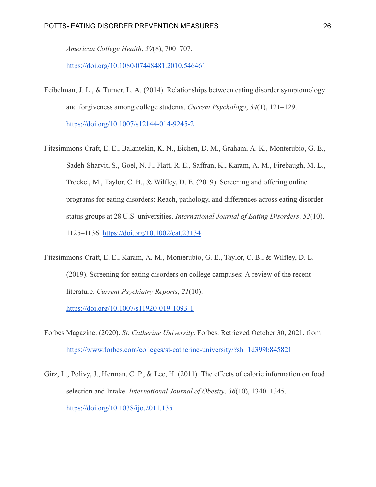*American College Health*, *59*(8), 700–707.

<https://doi.org/10.1080/07448481.2010.546461>

- Feibelman, J. L., & Turner, L. A. (2014). Relationships between eating disorder symptomology and forgiveness among college students. *Current Psychology*, *34*(1), 121–129. <https://doi.org/10.1007/s12144-014-9245-2>
- Fitzsimmons‐Craft, E. E., Balantekin, K. N., Eichen, D. M., Graham, A. K., Monterubio, G. E., Sadeh‐Sharvit, S., Goel, N. J., Flatt, R. E., Saffran, K., Karam, A. M., Firebaugh, M. L., Trockel, M., Taylor, C. B., & Wilfley, D. E. (2019). Screening and offering online programs for eating disorders: Reach, pathology, and differences across eating disorder status groups at 28 U.S. universities. *International Journal of Eating Disorders*, *52*(10), 1125–1136. <https://doi.org/10.1002/eat.23134>
- Fitzsimmons-Craft, E. E., Karam, A. M., Monterubio, G. E., Taylor, C. B., & Wilfley, D. E. (2019). Screening for eating disorders on college campuses: A review of the recent literature. *Current Psychiatry Reports*, *21*(10).

<https://doi.org/10.1007/s11920-019-1093-1>

- Forbes Magazine. (2020). *St. Catherine University*. Forbes. Retrieved October 30, 2021, from <https://www.forbes.com/colleges/st-catherine-university/?sh=1d399b845821>
- Girz, L., Polivy, J., Herman, C. P., & Lee, H. (2011). The effects of calorie information on food selection and Intake. *International Journal of Obesity*, *36*(10), 1340–1345. <https://doi.org/10.1038/ijo.2011.135>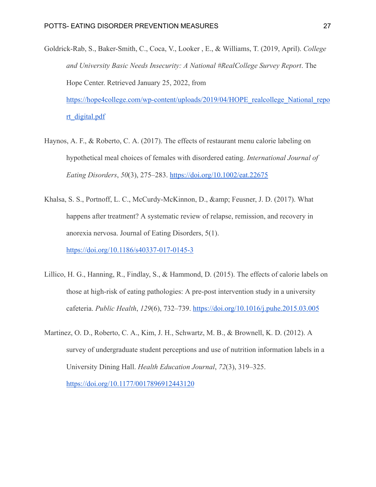- Goldrick-Rab, S., Baker-Smith, C., Coca, V., Looker , E., & Williams, T. (2019, April). *College and University Basic Needs Insecurity: A National #RealCollege Survey Report*. The Hope Center. Retrieved January 25, 2022, from [https://hope4college.com/wp-content/uploads/2019/04/HOPE\\_realcollege\\_National\\_repo](https://hope4college.com/wp-content/uploads/2019/04/HOPE_realcollege_National_report_digital.pdf) [rt\\_digital.pdf](https://hope4college.com/wp-content/uploads/2019/04/HOPE_realcollege_National_report_digital.pdf)
- Haynos, A. F., & Roberto, C. A. (2017). The effects of restaurant menu calorie labeling on hypothetical meal choices of females with disordered eating. *International Journal of Eating Disorders*, *50*(3), 275–283. <https://doi.org/10.1002/eat.22675>
- Khalsa, S. S., Portnoff, L. C., McCurdy-McKinnon, D., & amp; Feusner, J. D. (2017). What happens after treatment? A systematic review of relapse, remission, and recovery in anorexia nervosa. Journal of Eating Disorders, 5(1). <https://doi.org/10.1186/s40337-017-0145-3>
- Lillico, H. G., Hanning, R., Findlay, S., & Hammond, D. (2015). The effects of calorie labels on those at high-risk of eating pathologies: A pre-post intervention study in a university cafeteria. *Public Health*, *129*(6), 732–739. <https://doi.org/10.1016/j.puhe.2015.03.005>
- Martinez, O. D., Roberto, C. A., Kim, J. H., Schwartz, M. B., & Brownell, K. D. (2012). A survey of undergraduate student perceptions and use of nutrition information labels in a University Dining Hall. *Health Education Journal*, *72*(3), 319–325. <https://doi.org/10.1177/0017896912443120>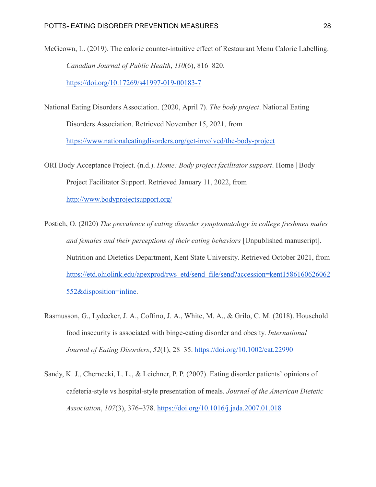- McGeown, L. (2019). The calorie counter-intuitive effect of Restaurant Menu Calorie Labelling. *Canadian Journal of Public Health*, *110*(6), 816–820. <https://doi.org/10.17269/s41997-019-00183-7>
- National Eating Disorders Association. (2020, April 7). *The body project*. National Eating Disorders Association. Retrieved November 15, 2021, from <https://www.nationaleatingdisorders.org/get-involved/the-body-project>
- ORI Body Acceptance Project. (n.d.). *Home: Body project facilitator support*. Home | Body Project Facilitator Support. Retrieved January 11, 2022, from <http://www.bodyprojectsupport.org/>
- Postich, O. (2020) *The prevalence of eating disorder symptomatology in college freshmen males and females and their perceptions of their eating behaviors* [Unpublished manuscript]. Nutrition and Dietetics Department, Kent State University. Retrieved October 2021, from [https://etd.ohiolink.edu/apexprod/rws\\_etd/send\\_file/send?accession=kent1586160626062](https://etd.ohiolink.edu/apexprod/rws_etd/send_file/send?accession=kent1586160626062552&disposition=inline) [552&disposition=inline](https://etd.ohiolink.edu/apexprod/rws_etd/send_file/send?accession=kent1586160626062552&disposition=inline).
- Rasmusson, G., Lydecker, J. A., Coffino, J. A., White, M. A., & Grilo, C. M. (2018). Household food insecurity is associated with binge-eating disorder and obesity. *International Journal of Eating Disorders*, *52*(1), 28–35. <https://doi.org/10.1002/eat.22990>
- Sandy, K. J., Chernecki, L. L., & Leichner, P. P. (2007). Eating disorder patients' opinions of cafeteria-style vs hospital-style presentation of meals. *Journal of the American Dietetic Association*, *107*(3), 376–378. <https://doi.org/10.1016/j.jada.2007.01.018>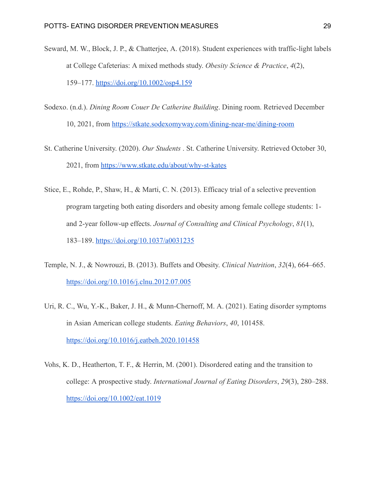- Seward, M. W., Block, J. P., & Chatterjee, A. (2018). Student experiences with traffic-light labels at College Cafeterias: A mixed methods study. *Obesity Science & Practice*, *4*(2), 159–177. <https://doi.org/10.1002/osp4.159>
- Sodexo. (n.d.). *Dining Room Couer De Catherine Building*. Dining room. Retrieved December 10, 2021, from <https://stkate.sodexomyway.com/dining-near-me/dining-room>
- St. Catherine University. (2020). *Our Students* . St. Catherine University. Retrieved October 30, 2021, from <https://www.stkate.edu/about/why-st-kates>
- Stice, E., Rohde, P., Shaw, H., & Marti, C. N. (2013). Efficacy trial of a selective prevention program targeting both eating disorders and obesity among female college students: 1 and 2-year follow-up effects. *Journal of Consulting and Clinical Psychology*, *81*(1), 183–189. <https://doi.org/10.1037/a0031235>
- Temple, N. J., & Nowrouzi, B. (2013). Buffets and Obesity. *Clinical Nutrition*, *32*(4), 664–665. <https://doi.org/10.1016/j.clnu.2012.07.005>
- Uri, R. C., Wu, Y.-K., Baker, J. H., & Munn-Chernoff, M. A. (2021). Eating disorder symptoms in Asian American college students. *Eating Behaviors*, *40*, 101458. <https://doi.org/10.1016/j.eatbeh.2020.101458>
- Vohs, K. D., Heatherton, T. F., & Herrin, M. (2001). Disordered eating and the transition to college: A prospective study. *International Journal of Eating Disorders*, *29*(3), 280–288. <https://doi.org/10.1002/eat.1019>